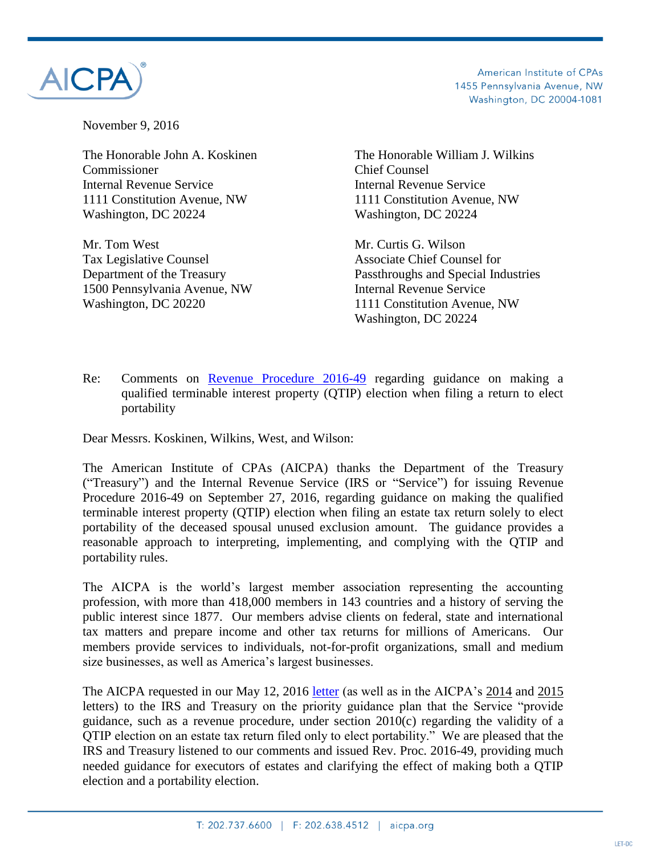



November 9, 2016

Commissioner Chief Counsel Internal Revenue Service Internal Revenue Service 1111 Constitution Avenue, NW 1111 Constitution Avenue, NW Washington, DC 20224 Washington, DC 20224

Mr. Tom West Mr. Curtis G. Wilson Tax Legislative Counsel **Associate Chief Counsel 6** Associate Chief Counsel for 1500 Pennsylvania Avenue, NW Internal Revenue Service Washington, DC 20220 1111 Constitution Avenue, NW

The Honorable John A. Koskinen The Honorable William J. Wilkins

Department of the Treasury Passthroughs and Special Industries Washington, DC 20224

Re: Comments on [Revenue Procedure 2016-49](https://www.irs.gov/pub/irs-drop/rp-16-49.pdf) regarding guidance on making a qualified terminable interest property (QTIP) election when filing a return to elect portability

Dear Messrs. Koskinen, Wilkins, West, and Wilson:

The American Institute of CPAs (AICPA) thanks the Department of the Treasury ("Treasury") and the Internal Revenue Service (IRS or "Service") for issuing Revenue Procedure 2016-49 on September 27, 2016, regarding guidance on making the qualified terminable interest property (QTIP) election when filing an estate tax return solely to elect portability of the deceased spousal unused exclusion amount. The guidance provides a reasonable approach to interpreting, implementing, and complying with the QTIP and portability rules.

The AICPA is the world's largest member association representing the accounting profession, with more than 418,000 members in 143 countries and a history of serving the public interest since 1877. Our members advise clients on federal, state and international tax matters and prepare income and other tax returns for millions of Americans. Our members provide services to individuals, not-for-profit organizations, small and medium size businesses, as well as America's largest businesses.

The AICPA requested in our May 12, 2016 [letter](http://www.aicpa.org/Advocacy/Tax/DownloadableDocuments/AICPA-2016-2017-Priority-Guidance-Plan-List-Final.pdf) (as well as in the AICPA's [2014](http://www.aicpa.org/Advocacy/Tax/IRSPracticeProcedure/DownloadableDocuments/AICPA%27s%20Comments%20on%202014%20-%202015%20Guidance%20Priority%20List%20Final.pdf) and [2015](http://www.aicpa.org/Advocacy/Tax/DownloadableDocuments/AICPAs-2015-2016-Priority-Guidance-Plan-List-Final.pdf) letters) to the IRS and Treasury on the priority guidance plan that the Service "provide guidance, such as a revenue procedure, under section 2010(c) regarding the validity of a QTIP election on an estate tax return filed only to elect portability." We are pleased that the IRS and Treasury listened to our comments and issued Rev. Proc. 2016-49, providing much needed guidance for executors of estates and clarifying the effect of making both a QTIP election and a portability election.